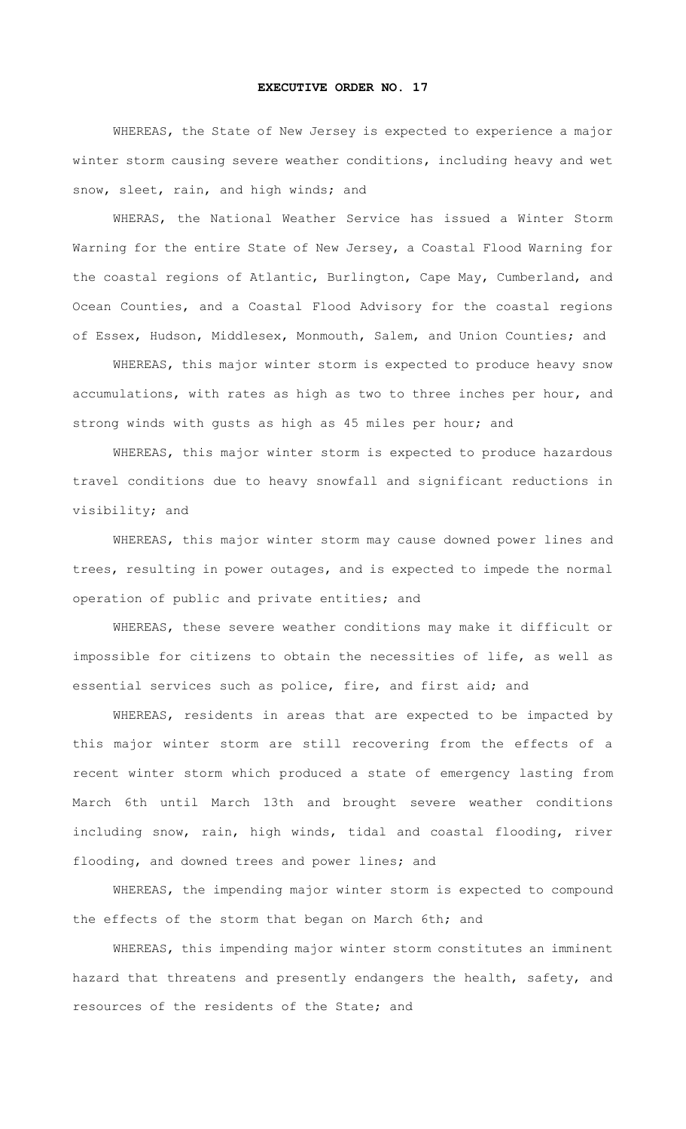## **EXECUTIVE ORDER NO. 17**

WHEREAS, the State of New Jersey is expected to experience a major winter storm causing severe weather conditions, including heavy and wet snow, sleet, rain, and high winds; and

WHERAS, the National Weather Service has issued a Winter Storm Warning for the entire State of New Jersey, a Coastal Flood Warning for the coastal regions of Atlantic, Burlington, Cape May, Cumberland, and Ocean Counties, and a Coastal Flood Advisory for the coastal regions of Essex, Hudson, Middlesex, Monmouth, Salem, and Union Counties; and

WHEREAS, this major winter storm is expected to produce heavy snow accumulations, with rates as high as two to three inches per hour, and strong winds with gusts as high as 45 miles per hour; and

WHEREAS, this major winter storm is expected to produce hazardous travel conditions due to heavy snowfall and significant reductions in visibility; and

WHEREAS, this major winter storm may cause downed power lines and trees, resulting in power outages, and is expected to impede the normal operation of public and private entities; and

WHEREAS, these severe weather conditions may make it difficult or impossible for citizens to obtain the necessities of life, as well as essential services such as police, fire, and first aid; and

WHEREAS, residents in areas that are expected to be impacted by this major winter storm are still recovering from the effects of a recent winter storm which produced a state of emergency lasting from March 6th until March 13th and brought severe weather conditions including snow, rain, high winds, tidal and coastal flooding, river flooding, and downed trees and power lines; and

WHEREAS, the impending major winter storm is expected to compound the effects of the storm that began on March 6th; and

WHEREAS, this impending major winter storm constitutes an imminent hazard that threatens and presently endangers the health, safety, and resources of the residents of the State; and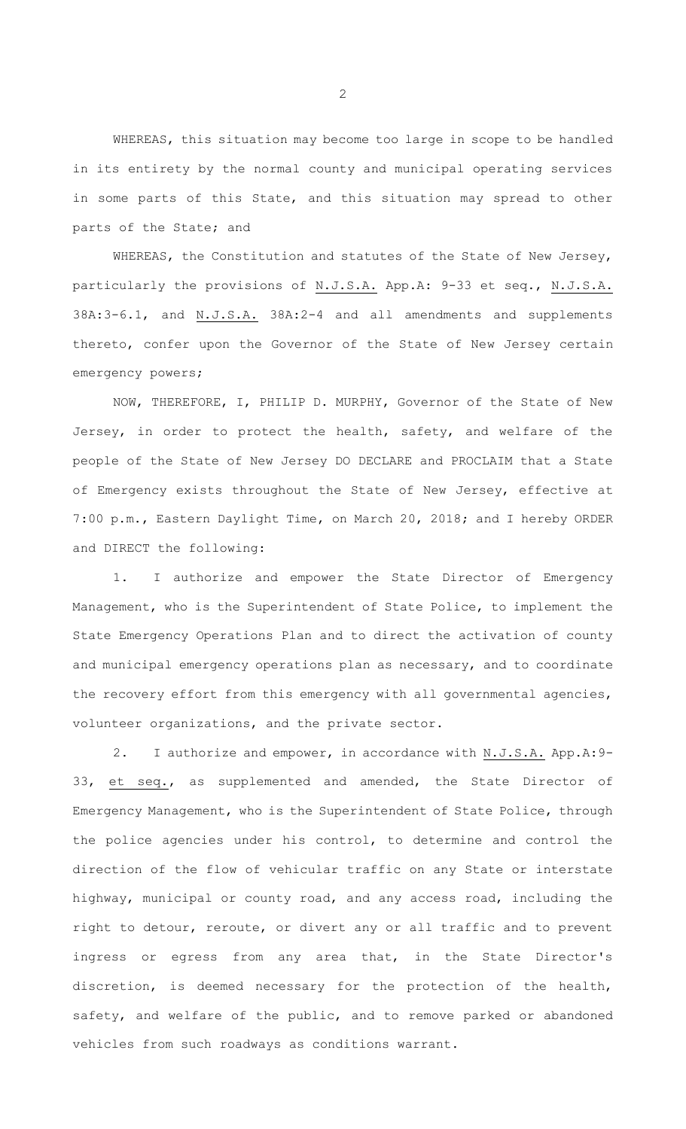WHEREAS, this situation may become too large in scope to be handled in its entirety by the normal county and municipal operating services in some parts of this State, and this situation may spread to other parts of the State; and

WHEREAS, the Constitution and statutes of the State of New Jersey, particularly the provisions of N.J.S.A. App.A: 9-33 et seq., N.J.S.A. 38A:3-6.1, and N.J.S.A. 38A:2-4 and all amendments and supplements thereto, confer upon the Governor of the State of New Jersey certain emergency powers;

NOW, THEREFORE, I, PHILIP D. MURPHY, Governor of the State of New Jersey, in order to protect the health, safety, and welfare of the people of the State of New Jersey DO DECLARE and PROCLAIM that a State of Emergency exists throughout the State of New Jersey, effective at 7:00 p.m., Eastern Daylight Time, on March 20, 2018; and I hereby ORDER and DIRECT the following:

1. I authorize and empower the State Director of Emergency Management, who is the Superintendent of State Police, to implement the State Emergency Operations Plan and to direct the activation of county and municipal emergency operations plan as necessary, and to coordinate the recovery effort from this emergency with all governmental agencies, volunteer organizations, and the private sector.

2. I authorize and empower, in accordance with N.J.S.A. App.A:9- 33, et seq., as supplemented and amended, the State Director of Emergency Management, who is the Superintendent of State Police, through the police agencies under his control, to determine and control the direction of the flow of vehicular traffic on any State or interstate highway, municipal or county road, and any access road, including the right to detour, reroute, or divert any or all traffic and to prevent ingress or egress from any area that, in the State Director's discretion, is deemed necessary for the protection of the health, safety, and welfare of the public, and to remove parked or abandoned vehicles from such roadways as conditions warrant.

2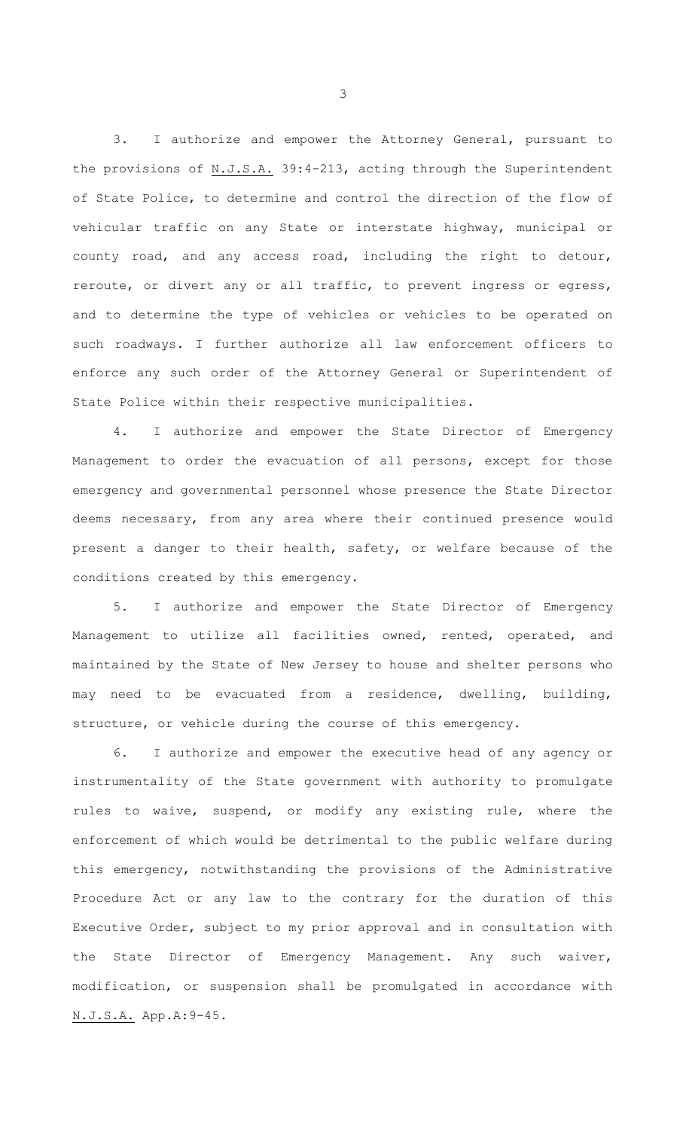3. I authorize and empower the Attorney General, pursuant to the provisions of N.J.S.A. 39:4-213, acting through the Superintendent of State Police, to determine and control the direction of the flow of vehicular traffic on any State or interstate highway, municipal or county road, and any access road, including the right to detour, reroute, or divert any or all traffic, to prevent ingress or egress, and to determine the type of vehicles or vehicles to be operated on such roadways. I further authorize all law enforcement officers to enforce any such order of the Attorney General or Superintendent of State Police within their respective municipalities.

4. I authorize and empower the State Director of Emergency Management to order the evacuation of all persons, except for those emergency and governmental personnel whose presence the State Director deems necessary, from any area where their continued presence would present a danger to their health, safety, or welfare because of the conditions created by this emergency.

5. I authorize and empower the State Director of Emergency Management to utilize all facilities owned, rented, operated, and maintained by the State of New Jersey to house and shelter persons who may need to be evacuated from a residence, dwelling, building, structure, or vehicle during the course of this emergency.

6. I authorize and empower the executive head of any agency or instrumentality of the State government with authority to promulgate rules to waive, suspend, or modify any existing rule, where the enforcement of which would be detrimental to the public welfare during this emergency, notwithstanding the provisions of the Administrative Procedure Act or any law to the contrary for the duration of this Executive Order, subject to my prior approval and in consultation with the State Director of Emergency Management. Any such waiver, modification, or suspension shall be promulgated in accordance with N.J.S.A. App.A:9-45.

3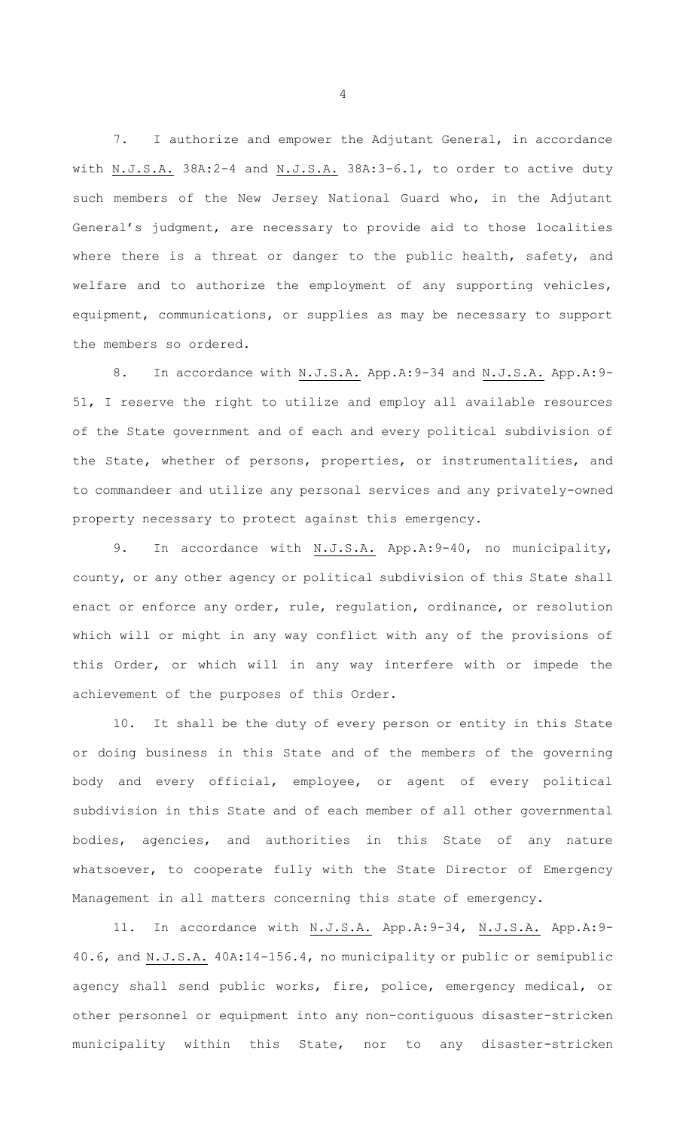7. I authorize and empower the Adjutant General, in accordance with N.J.S.A. 38A:2-4 and N.J.S.A. 38A:3-6.1, to order to active duty such members of the New Jersey National Guard who, in the Adjutant General's judgment, are necessary to provide aid to those localities where there is a threat or danger to the public health, safety, and welfare and to authorize the employment of any supporting vehicles, equipment, communications, or supplies as may be necessary to support the members so ordered.

8. In accordance with N.J.S.A. App.A:9-34 and N.J.S.A. App.A:9- 51, I reserve the right to utilize and employ all available resources of the State government and of each and every political subdivision of the State, whether of persons, properties, or instrumentalities, and to commandeer and utilize any personal services and any privately-owned property necessary to protect against this emergency.

9. In accordance with N.J.S.A. App.A:9-40, no municipality, county, or any other agency or political subdivision of this State shall enact or enforce any order, rule, regulation, ordinance, or resolution which will or might in any way conflict with any of the provisions of this Order, or which will in any way interfere with or impede the achievement of the purposes of this Order.

10. It shall be the duty of every person or entity in this State or doing business in this State and of the members of the governing body and every official, employee, or agent of every political subdivision in this State and of each member of all other governmental bodies, agencies, and authorities in this State of any nature whatsoever, to cooperate fully with the State Director of Emergency Management in all matters concerning this state of emergency.

11. In accordance with N.J.S.A. App.A:9-34, N.J.S.A. App.A:9- 40.6, and N.J.S.A. 40A:14-156.4, no municipality or public or semipublic agency shall send public works, fire, police, emergency medical, or other personnel or equipment into any non-contiguous disaster-stricken municipality within this State, nor to any disaster-stricken

4